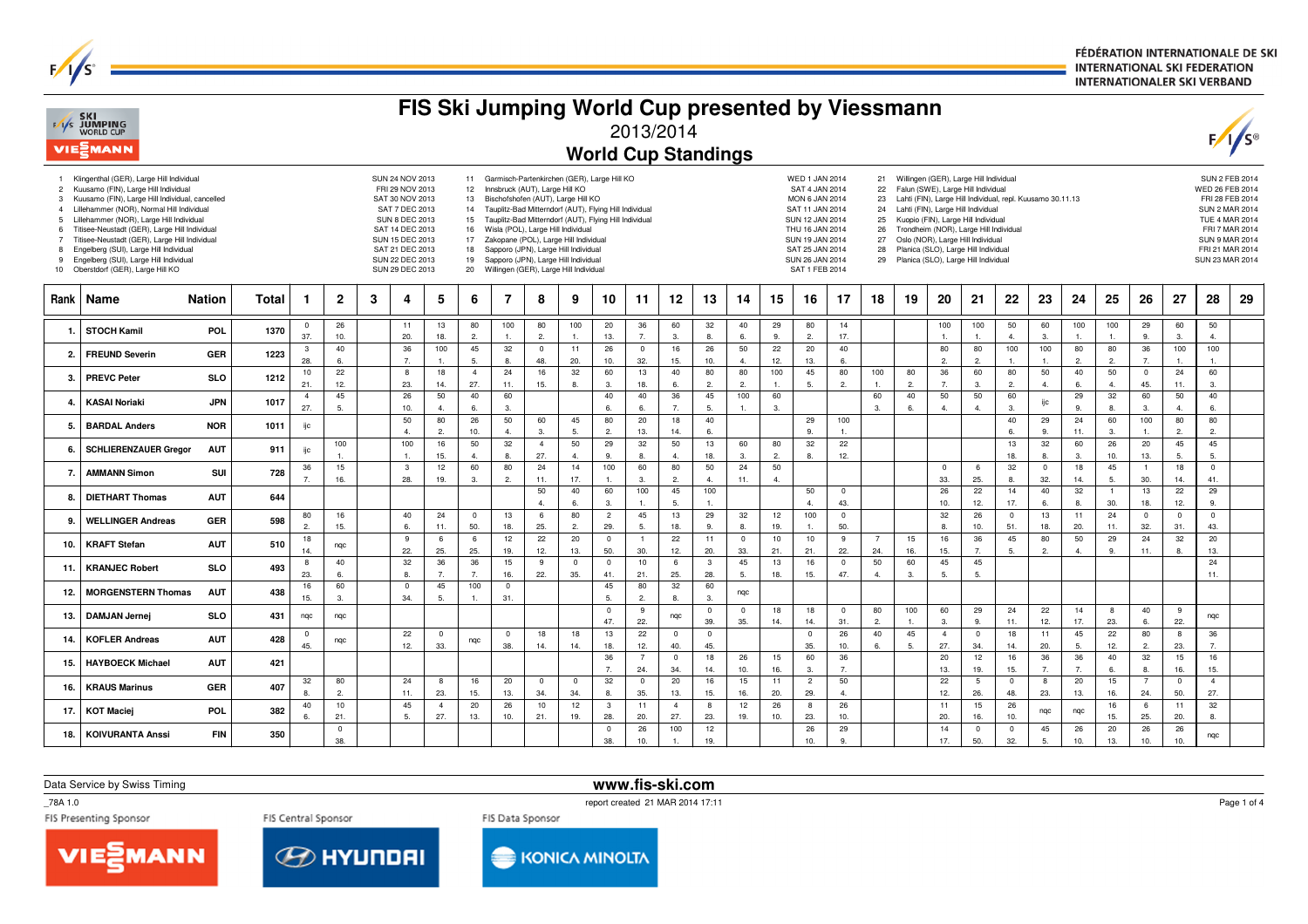FÉDÉRATION INTERNATIONALE DE SKI **INTERNATIONAL SKI FEDERATION INTERNATIONALER SKI VERBAND** 

|                                                       | <b>FAS SKI</b><br>WORLD CUP<br>VIESMANN                                                                                                                                                                                                                                                                                                                                                                                                                      |               |       | FIS Ski Jumping World Cup presented by Viessmann<br>2013/2014<br><b>World Cup Standings</b> |                              |   |                                                                                                                                                                                                 |                      |                                                                 |                                                                                                                                                                                                                                                                               |                       |                       |                                                                                                                                                                    |                       |                       |                      |                      |                       |                                                                                                                                                                                               |                         |                                              | F/1/s     |                       |                                                                                                                                                                                                                                                                                                                                                                                           |                        |                      |                        |                      |                                |                               |                                                                                                                                       |                                         |
|-------------------------------------------------------|--------------------------------------------------------------------------------------------------------------------------------------------------------------------------------------------------------------------------------------------------------------------------------------------------------------------------------------------------------------------------------------------------------------------------------------------------------------|---------------|-------|---------------------------------------------------------------------------------------------|------------------------------|---|-------------------------------------------------------------------------------------------------------------------------------------------------------------------------------------------------|----------------------|-----------------------------------------------------------------|-------------------------------------------------------------------------------------------------------------------------------------------------------------------------------------------------------------------------------------------------------------------------------|-----------------------|-----------------------|--------------------------------------------------------------------------------------------------------------------------------------------------------------------|-----------------------|-----------------------|----------------------|----------------------|-----------------------|-----------------------------------------------------------------------------------------------------------------------------------------------------------------------------------------------|-------------------------|----------------------------------------------|-----------|-----------------------|-------------------------------------------------------------------------------------------------------------------------------------------------------------------------------------------------------------------------------------------------------------------------------------------------------------------------------------------------------------------------------------------|------------------------|----------------------|------------------------|----------------------|--------------------------------|-------------------------------|---------------------------------------------------------------------------------------------------------------------------------------|-----------------------------------------|
| 3<br>$\overline{4}$<br>-5<br>$\overline{7}$<br>8<br>9 | 1 Klingenthal (GER), Large Hill Individual<br>2 Kuusamo (FIN), Large Hill Individual<br>Kuusamo (FIN), Large Hill Individual, cancelled<br>Lillehammer (NOR), Normal Hill Individual<br>Lillehammer (NOR), Large Hill Individual<br>Titisee-Neustadt (GER), Large Hill Individual<br>Titisee-Neustadt (GER), Large Hill Individual<br>Engelberg (SUI), Large Hill Individual<br>Engelberg (SUI), Large Hill Individual<br>10 Oberstdorf (GER), Large Hill KO |               |       |                                                                                             |                              |   | SUN 24 NOV 2013<br>FRI 29 NOV 2013<br>SAT 30 NOV 2013<br>SAT 7 DEC 2013<br><b>SUN 8 DEC 2013</b><br>SAT 14 DEC 2013<br>SUN 15 DEC 2013<br>SAT 21 DEC 2013<br>SUN 22 DEC 2013<br>SUN 29 DEC 2013 |                      | 12 <sup>2</sup><br>13<br>14<br>15<br>16<br>17<br>18<br>19<br>20 | Innsbruck (AUT), Large Hill KO<br>Bischofshofen (AUT), Large Hill KO<br>Wisla (POL), Large Hill Individual<br>Zakopane (POL), Large Hill Individual<br>Sapporo (JPN), Large Hill Individual<br>Sapporo (JPN), Large Hill Individual<br>Willingen (GER), Large Hill Individual |                       |                       | 11 Garmisch-Partenkirchen (GER), Large Hill KO<br>Tauplitz-Bad Mitterndorf (AUT), Flying Hill Individual<br>Tauplitz-Bad Mitterndorf (AUT), Flying Hill Individual |                       |                       |                      |                      |                       | <b>WED 1 JAN 2014</b><br>SAT 4 JAN 2014<br>MON 6 JAN 2014<br>SAT 11 JAN 2014<br>SUN 12 JAN 2014<br>THU 16 JAN 2014<br>SUN 19 JAN 2014<br>SAT 25 JAN 2014<br>SUN 26 JAN 2014<br>SAT 1 FEB 2014 |                         | 22<br>23<br>24<br>25<br>26<br>27<br>28<br>29 |           |                       | 21 Willingen (GER), Large Hill Individual<br>Falun (SWE), Large Hill Individual<br>Lahti (FIN), Large Hill Individual, repl. Kuusamo 30.11.13<br>Lahti (FIN), Large Hill Individual<br>Kuopio (FIN), Large Hill Individual<br>Trondheim (NOR), Large Hill Individual<br>Oslo (NOR), Large Hill Individual<br>Planica (SLO), Large Hill Individual<br>Planica (SLO), Large Hill Individual |                        |                      |                        |                      |                                |                               | WED 26 FEB 2014<br>FRI 28 FEB 2014<br>SUN 2 MAR 2014<br><b>TUE 4 MAR 2014</b><br>SUN 9 MAR 2014<br>FRI 21 MAR 2014<br>SUN 23 MAR 2014 | <b>SUN 2 FEB 2014</b><br>FRI 7 MAR 2014 |
| Rank                                                  | Name                                                                                                                                                                                                                                                                                                                                                                                                                                                         | <b>Nation</b> | Total | 1                                                                                           | $\mathbf 2$                  | 3 | 4                                                                                                                                                                                               | 5                    | 6                                                               | 7                                                                                                                                                                                                                                                                             | 8                     | 9                     | 10                                                                                                                                                                 | 11                    | 12                    | 13                   | 14                   | 15                    | 16                                                                                                                                                                                            | 17                      | 18                                           | 19        | 20                    | 21                                                                                                                                                                                                                                                                                                                                                                                        | 22                     | 23                   | 24                     | 25                   | 26                             | 27                            | 28                                                                                                                                    | 29                                      |
| -1.                                                   | <b>STOCH Kamil</b>                                                                                                                                                                                                                                                                                                                                                                                                                                           | POL           | 1370  | $^{\circ}$<br>37.                                                                           | 26<br>10.                    |   | 11<br>20.                                                                                                                                                                                       | 13<br>18.            | 80<br>2.                                                        | 100<br>$\mathbf{1}$                                                                                                                                                                                                                                                           | 80<br>$\overline{2}$  | 100<br>$\overline{1}$ | 20<br>13.                                                                                                                                                          | 36<br>$\overline{7}$  | 60<br>3.              | 32<br>8.             | 40<br>6.             | 29<br>9.              | 80<br>2.                                                                                                                                                                                      | 14<br>17.               |                                              |           | 100<br>$\mathbf{1}$ . | 100<br>$\overline{1}$                                                                                                                                                                                                                                                                                                                                                                     | 50<br>$\overline{4}$   | 60<br>3.             | 100<br>$\overline{1}$  | 100                  | 29<br>9.                       | 60<br>3.                      | 50<br>4.                                                                                                                              |                                         |
| 2.                                                    | <b>FREUND Severin</b>                                                                                                                                                                                                                                                                                                                                                                                                                                        | <b>GER</b>    | 1223  | -3<br>28.                                                                                   | 40<br>6.                     |   | 36<br>7.                                                                                                                                                                                        | 100<br>$\mathbf{1}$  | 45<br>5.                                                        | 32<br>8.                                                                                                                                                                                                                                                                      | $\overline{0}$<br>48. | 11<br>20.             | 26<br>10.                                                                                                                                                          | $\mathbf 0$<br>32.    | 16<br>15.             | 26<br>10.            | 50<br>$\overline{4}$ | 22<br>12.             | 20<br>13.                                                                                                                                                                                     | 40<br>6.                |                                              |           | 80<br>2.              | 80<br>2.                                                                                                                                                                                                                                                                                                                                                                                  | 100<br>$\overline{1}$  | 100<br>$\mathbf{1}$  | 80<br>2.               | 80<br>2.             | 36<br>$\overline{7}$           | 100<br>1                      | 100<br>1.                                                                                                                             |                                         |
| 3.                                                    | <b>PREVC Peter</b>                                                                                                                                                                                                                                                                                                                                                                                                                                           | <b>SLO</b>    | 1212  | 10<br>21.                                                                                   | 22<br>12.                    |   | 8<br>23.                                                                                                                                                                                        | 18<br>14.            | $\overline{4}$<br>27.                                           | 24<br>11.                                                                                                                                                                                                                                                                     | 16<br>15.             | 32<br>8               | 60<br>3.                                                                                                                                                           | 13<br>18.             | 40<br>6.              | 80<br>2.             | 80<br>2.             | 100<br>$\mathbf{1}$ . | 45<br>5.                                                                                                                                                                                      | 80<br>2.                | 100<br>$\overline{1}$                        | 80<br>2.  | 36<br>$\overline{7}$  | 60<br>3.                                                                                                                                                                                                                                                                                                                                                                                  | 80<br>$\overline{2}$   | 50<br>4.             | 40<br>6.               | 50<br>$\overline{4}$ | $\overline{0}$<br>45.          | 24<br>11.                     | 60<br>3                                                                                                                               |                                         |
| 4.                                                    | <b>KASAI Noriaki</b>                                                                                                                                                                                                                                                                                                                                                                                                                                         | <b>JPN</b>    | 1017  | $\overline{4}$<br>27.                                                                       | 45<br>-5.                    |   | 26<br>10.                                                                                                                                                                                       | 50<br>$\overline{4}$ | 40<br>6.                                                        | 60<br>3.                                                                                                                                                                                                                                                                      |                       |                       | 40<br>6.                                                                                                                                                           | 40                    | 36                    | 45<br>5.             | 100<br>$\mathbf{1}$  | 60<br>3.              |                                                                                                                                                                                               |                         | 60<br>3.                                     | 40<br>6.  | 50<br>$\overline{4}$  | 50<br>$\mathbf{A}$                                                                                                                                                                                                                                                                                                                                                                        | 60<br>3.               | ijc                  | 29<br>9.               | 32<br>8.             | 60<br>3.                       | 50<br>$\Delta$                | 40<br>6.                                                                                                                              |                                         |
| 5.                                                    | <b>BARDAL Anders</b>                                                                                                                                                                                                                                                                                                                                                                                                                                         | <b>NOR</b>    | 1011  | ijc                                                                                         |                              |   | 50<br>$\overline{4}$                                                                                                                                                                            | 80<br>2.             | 26<br>10.                                                       | 50<br>$\overline{4}$                                                                                                                                                                                                                                                          | 60<br>3.              | 45<br>5.              | 80<br>2.                                                                                                                                                           | 20<br>13.             | 18<br>14.             | 40<br>6.             |                      |                       | 29<br>9.                                                                                                                                                                                      | 100<br>$\overline{1}$ . |                                              |           |                       |                                                                                                                                                                                                                                                                                                                                                                                           | 40<br>6.               | 29<br>9.             | 24<br>11.              | 60<br>3.             | 100<br>$\mathbf{1}$            | 80<br>2.                      | 80<br>$\overline{2}$                                                                                                                  |                                         |
| 6.                                                    | <b>SCHLIERENZAUER Gregor</b>                                                                                                                                                                                                                                                                                                                                                                                                                                 | <b>AUT</b>    | 911   | ijс                                                                                         | 100<br>$\overline{1}$        |   | 100<br>$\mathbf{1}$                                                                                                                                                                             | 16<br>15.            | 50<br>$\overline{4}$                                            | 32<br>8.                                                                                                                                                                                                                                                                      | $\overline{4}$<br>27. | 50<br>$\overline{4}$  | 29<br>9.                                                                                                                                                           | 32                    | 50<br>$\overline{4}$  | 13<br>18.            | 60<br>$\mathbf{3}$   | 80<br>2.              | 32<br>8.                                                                                                                                                                                      | 22<br>12.               |                                              |           |                       |                                                                                                                                                                                                                                                                                                                                                                                           | 13<br>18.              | 32<br>8.             | 60<br>3.               | 26<br>10.            | 20<br>13.                      | 45<br>5.                      | 45<br>5.                                                                                                                              |                                         |
| 7.                                                    | <b>AMMANN Simon</b>                                                                                                                                                                                                                                                                                                                                                                                                                                          | SUI           | 728   | 36<br>$\overline{7}$                                                                        | 15<br>16.                    |   | $\mathbf{3}$<br>28.                                                                                                                                                                             | 12<br>19.            | 60<br>3.                                                        | 80<br>$\overline{2}$                                                                                                                                                                                                                                                          | 24<br>11.             | 14<br>17.             | 100                                                                                                                                                                | 60<br>3.              | 80<br>2.              | 50<br>$\overline{4}$ | 24<br>11.            | 50<br>$\mathbf{4}$    |                                                                                                                                                                                               |                         |                                              |           | $\overline{0}$<br>33. | 6<br>25.                                                                                                                                                                                                                                                                                                                                                                                  | 32<br>8.               | $\mathbf 0$<br>32.   | 18<br>14.              | 45<br>5.             | $\overline{1}$<br>30           | 18<br>14.                     | $\mathbf 0$<br>41.                                                                                                                    |                                         |
| 8.                                                    | <b>DIETHART Thomas</b>                                                                                                                                                                                                                                                                                                                                                                                                                                       | <b>AUT</b>    | 644   |                                                                                             |                              |   |                                                                                                                                                                                                 |                      |                                                                 |                                                                                                                                                                                                                                                                               | 50<br>$\overline{4}$  | 40<br>6               | 60<br>3.                                                                                                                                                           | 100                   | 45<br>5.              | 100<br>1.            |                      |                       | 50<br>$\overline{4}$                                                                                                                                                                          | $\mathbf 0$<br>43.      |                                              |           | 26<br>10.             | 22<br>12.                                                                                                                                                                                                                                                                                                                                                                                 | 14<br>17.              | 40<br>6.             | 32<br>8.               | 30.                  | 13<br>18                       | 22<br>12.                     | 29<br>9                                                                                                                               |                                         |
| 9.                                                    | <b>WELLINGER Andreas</b>                                                                                                                                                                                                                                                                                                                                                                                                                                     | <b>GER</b>    | 598   | 80<br>2.                                                                                    | 16<br>15.                    |   | 40<br>6.                                                                                                                                                                                        | 24<br>11.            | $\overline{0}$<br>50.                                           | 13<br>18.                                                                                                                                                                                                                                                                     | 6<br>25.              | 80<br>$\overline{2}$  | $\overline{c}$<br>29.                                                                                                                                              | 45<br>5.              | 13<br>18.             | 29<br>9.             | 32<br>8.             | 12<br>19.             | 100<br>$\overline{1}$                                                                                                                                                                         | $\overline{0}$<br>50.   |                                              |           | 32<br>8.              | 26<br>10.                                                                                                                                                                                                                                                                                                                                                                                 | $^{\circ}$<br>51.      | 13<br>18.            | 11<br>20.              | 24<br>11.            | $\overline{\mathbf{0}}$<br>32. | $\overline{\mathbf{0}}$<br>31 | $\mathbf 0$<br>43.                                                                                                                    |                                         |
| 10.                                                   | <b>KRAFT Stefan</b>                                                                                                                                                                                                                                                                                                                                                                                                                                          | <b>AUT</b>    | 510   | 18<br>14.                                                                                   | nqc                          |   | 9<br>22.                                                                                                                                                                                        | 6<br>25.             | 6<br>25.                                                        | 12<br>19.                                                                                                                                                                                                                                                                     | 22<br>12.             | 20<br>13.             | $\mathbf 0$<br>50.                                                                                                                                                 | 30.                   | 22<br>12.             | 11<br>20.            | $\mathbf 0$<br>33.   | 10<br>21.             | 10<br>21.                                                                                                                                                                                     | 9<br>22.                | $\overline{7}$<br>24.                        | 15<br>16. | 16<br>15.             | 36<br>7.                                                                                                                                                                                                                                                                                                                                                                                  | 45<br>5.               | 80<br>$\overline{2}$ | 50<br>$\overline{4}$ . | 29<br>9.             | 24<br>11.                      | 32<br>8                       | 20<br>13.                                                                                                                             |                                         |
| 11.                                                   | <b>KRANJEC Robert</b>                                                                                                                                                                                                                                                                                                                                                                                                                                        | <b>SLO</b>    | 493   | 8<br>23.                                                                                    | 40<br>6.                     |   | 32<br>8.                                                                                                                                                                                        | 36<br>7.             | 36<br>$\overline{7}$                                            | 15<br>16.                                                                                                                                                                                                                                                                     | 9<br>22.              | $\mathbf 0$<br>35.    | $\mathbf 0$<br>41.                                                                                                                                                 | 10<br>21              | 6<br>25.              | 3<br>28.             | 45<br>5.             | 13<br>18.             | 16<br>15.                                                                                                                                                                                     | $\overline{0}$<br>47.   | 50<br>$\overline{4}$                         | 60<br>3   | 45<br>5.              | 45<br>5.                                                                                                                                                                                                                                                                                                                                                                                  |                        |                      |                        |                      |                                |                               | 24<br>11.                                                                                                                             |                                         |
| 12.                                                   | <b>MORGENSTERN Thomas</b>                                                                                                                                                                                                                                                                                                                                                                                                                                    | <b>AUT</b>    | 438   | 16<br>15.                                                                                   | 60<br>3.                     |   | $\mathbf 0$<br>34.                                                                                                                                                                              | 45<br>5.             | 100                                                             | $\overline{0}$<br>31.                                                                                                                                                                                                                                                         |                       |                       | 45<br>5.                                                                                                                                                           | 80<br>$\overline{2}$  | 32<br>8.              | 60<br>3.             | ngc                  |                       |                                                                                                                                                                                               |                         |                                              |           |                       |                                                                                                                                                                                                                                                                                                                                                                                           |                        |                      |                        |                      |                                |                               |                                                                                                                                       |                                         |
| 13.                                                   | <b>DAMJAN Jernei</b>                                                                                                                                                                                                                                                                                                                                                                                                                                         | <b>SLO</b>    | 431   | nqc                                                                                         | ngc                          |   |                                                                                                                                                                                                 |                      |                                                                 |                                                                                                                                                                                                                                                                               |                       |                       | $^{\circ}$<br>47.                                                                                                                                                  | 9<br>22.              | nqc                   | $\mathbf 0$<br>39.   | $^{\circ}$<br>35.    | 18<br>14.             | 18<br>14.                                                                                                                                                                                     | $^{\circ}$<br>31.       | 80<br>2.                                     | 100<br>1. | 60<br>3.              | 29<br>9.                                                                                                                                                                                                                                                                                                                                                                                  | 24<br>11.              | 22<br>12.            | 14<br>17.              | 8<br>23.             | 40<br>6.                       | - 9<br>22.                    | ngc                                                                                                                                   |                                         |
| 14.                                                   | <b>KOFLER Andreas</b>                                                                                                                                                                                                                                                                                                                                                                                                                                        | <b>AUT</b>    | 428   | $^{\circ}$<br>45.                                                                           | nqc                          |   | 22<br>12.                                                                                                                                                                                       | $\Omega$<br>33.      | nqc                                                             | $\overline{0}$<br>38.                                                                                                                                                                                                                                                         | 18<br>14.             | 18<br>14.             | 13<br>18.                                                                                                                                                          | 22<br>12.             | $\overline{0}$<br>40. | $\mathbf 0$<br>45.   |                      |                       | $\mathbf 0$<br>35.                                                                                                                                                                            | 26<br>10.               | 40<br>6.                                     | 45<br>5.  | $\overline{4}$<br>27. | $\overline{0}$<br>34.                                                                                                                                                                                                                                                                                                                                                                     | 18<br>14.              | 11<br>20.            | 45<br>5.               | 22<br>12.            | 80<br>2.                       | 8<br>23.                      | 36<br>$\overline{7}$                                                                                                                  |                                         |
| 15.                                                   | <b>HAYBOECK Michael</b>                                                                                                                                                                                                                                                                                                                                                                                                                                      | <b>AUT</b>    | 421   |                                                                                             |                              |   |                                                                                                                                                                                                 |                      |                                                                 |                                                                                                                                                                                                                                                                               |                       |                       | 36<br>7                                                                                                                                                            | $\overline{7}$<br>24. | $\mathbf{0}$<br>34.   | 18<br>14.            | 26<br>10.            | 15<br>16.             | 60<br>3.                                                                                                                                                                                      | 36<br>7.                |                                              |           | 20<br>13.             | 12<br>19.                                                                                                                                                                                                                                                                                                                                                                                 | 16<br>15.              | 36<br>$\overline{7}$ | 36<br>$\overline{7}$   | 40<br>6.             | 32<br>8.                       | 15<br>16.                     | 16<br>15.                                                                                                                             |                                         |
| 16.                                                   | <b>KRAUS Marinus</b>                                                                                                                                                                                                                                                                                                                                                                                                                                         | <b>GER</b>    | 407   | 32<br>8.                                                                                    | 80<br>$\overline{2}$         |   | 24<br>11.                                                                                                                                                                                       | 8<br>23.             | 16                                                              | 20<br>13.                                                                                                                                                                                                                                                                     | $\Omega$<br>34.       | $\mathbf 0$           | 32<br>8.                                                                                                                                                           | $\mathbf 0$<br>35.    | 20<br>13.             | 16                   | 15                   | 11                    | $\overline{2}$<br>29.                                                                                                                                                                         | 50<br>$\overline{4}$    |                                              |           | 22<br>12.             | 5<br>26.                                                                                                                                                                                                                                                                                                                                                                                  | $\Omega$<br>48.        | 8<br>23.             | 20<br>13.              | 15                   | $\overline{7}$<br>24           | $\mathbf 0$<br>50.            | $\overline{4}$<br>27.                                                                                                                 |                                         |
| 17.                                                   | <b>KOT Maciej</b>                                                                                                                                                                                                                                                                                                                                                                                                                                            | POL           | 382   | 40<br>6.                                                                                    | 10                           |   | 45<br>5.                                                                                                                                                                                        | $\overline{4}$       | 15.<br>20                                                       | 26                                                                                                                                                                                                                                                                            | 10                    | 34.<br>12<br>19.      | 3                                                                                                                                                                  | 11                    | $\overline{4}$<br>27. | 15.<br>8             | 16.<br>12            | 20.<br>26             | 8                                                                                                                                                                                             | 26                      |                                              |           | 11                    | 15                                                                                                                                                                                                                                                                                                                                                                                        | 26                     | ngc                  | ngc                    | 16.<br>16            | 6                              | 11                            | 32<br>8.                                                                                                                              |                                         |
| 18.                                                   | <b>KOIVURANTA Anssi</b>                                                                                                                                                                                                                                                                                                                                                                                                                                      | <b>FIN</b>    | 350   |                                                                                             | 21.<br>$\overline{0}$<br>38. |   |                                                                                                                                                                                                 | 27.                  | 13.                                                             | 10.                                                                                                                                                                                                                                                                           | 21.                   |                       | 28.<br>$^{\circ}$<br>38.                                                                                                                                           | 20.<br>26<br>10.      | 100<br>$\mathbf{1}$   | 23.<br>12<br>19.     | 19.                  | 10.                   | 23.<br>26<br>10.                                                                                                                                                                              | 10.<br>29<br>9.         |                                              |           | 20.<br>14<br>17.      | 16.<br>$\overline{0}$<br>50.                                                                                                                                                                                                                                                                                                                                                              | 10.<br>$\Omega$<br>32. | 45<br>5.             | 26<br>10.              | 15.<br>20<br>13.     | 25.<br>26<br>10.               | 20.<br>26<br>10.              | ngc                                                                                                                                   |                                         |

Data Service by Swiss Timing

**www.fis-ski.com**

\_78A 1.0<br>FIS Presenting Sponsor

 $F/1/s^2$ 

report created 21 MAR 2014 17:11  $\sim$  100  $\mu$ 





KONICA MINOLTA

Page 1 of 4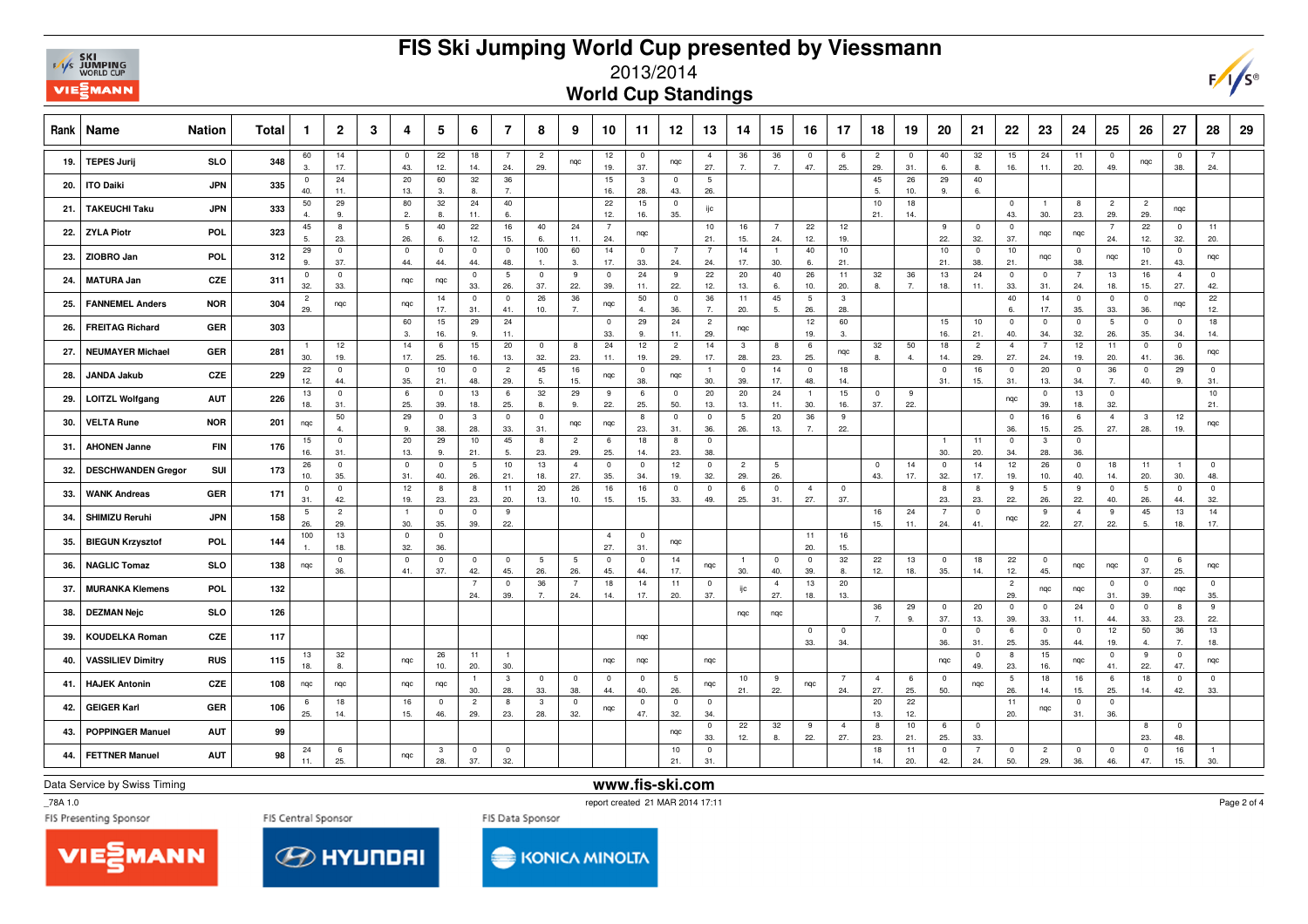## **EXT**<br>EXT<sub>WORLD CUP</sub> **VIEWANN**

## **FIS Ski Jumping World Cup presented by Viessmann**



**World Cup Standings**

|     | Rank   Name               | <b>Nation</b> | Total | $\mathbf{1}$          | $\overline{2}$                 | 3 | 4                      | 5                     | 6                              | $\overline{7}$         | 8                     | 9                              | 10                    | 11                    | 12                    | 13                    | 14                     | 15                    | 16                     | 17                    | 18                     | 19                    | 20                    | 21                    | 22                    | 23                    | 24                             | 25                    | 26                    | 27                    | 28                    | 29 |
|-----|---------------------------|---------------|-------|-----------------------|--------------------------------|---|------------------------|-----------------------|--------------------------------|------------------------|-----------------------|--------------------------------|-----------------------|-----------------------|-----------------------|-----------------------|------------------------|-----------------------|------------------------|-----------------------|------------------------|-----------------------|-----------------------|-----------------------|-----------------------|-----------------------|--------------------------------|-----------------------|-----------------------|-----------------------|-----------------------|----|
| 19. | <b>TEPES Jurij</b>        | <b>SLO</b>    | 348   | 60<br>3.              | 14<br>17.                      |   | $\mathbf 0$<br>43.     | 22<br>12.             | 18<br>14.                      | - 7<br>24.             | $\overline{2}$<br>29. | nqc                            | 12<br>19.             | $\mathbf 0$<br>37.    | nqc                   | $\overline{4}$<br>27. | 36<br>7.               | 36<br>7.              | $\mathbf 0$<br>47.     | 6<br>25.              | $\overline{c}$<br>29.  | $\overline{0}$<br>31. | 40<br>6.              | 32<br>8.              | 15<br>16.             | 24<br>11.             | 11<br>20.                      | $\mathbf{0}$<br>49.   | nqc                   | $^{\circ}$<br>38.     | -7<br>24.             |    |
| 20. | <b>ITO Daiki</b>          | <b>JPN</b>    | 335   | $\mathbf 0$<br>40.    | 24<br>11.                      |   | 20<br>13.              | 60<br>3.              | 32<br>-8.                      | 36<br>7.               |                       |                                | 15<br>16.             | $\mathbf{3}$<br>28.   | $\overline{0}$<br>43. | 5<br>26.              |                        |                       |                        |                       | 45<br>-5.              | 26<br>10.             | 29<br>9.              | 40<br>6.              |                       |                       |                                |                       |                       |                       |                       |    |
| 21. | <b>TAKEUCHI Taku</b>      | <b>JPN</b>    | 333   | 50<br>$\overline{4}$  | 29<br>9.                       |   | 80<br>2.               | 32<br>8.              | 24<br>11.                      | 40<br>6.               |                       |                                | 22<br>12.             | 15<br>16.             | $\overline{0}$<br>35. | ijс                   |                        |                       |                        |                       | 10<br>21.              | 18<br>14.             |                       |                       | $\overline{0}$<br>43. | $\overline{1}$<br>30. | 8<br>23.                       | $\overline{c}$<br>29. | $\overline{c}$<br>29. | ngc                   |                       |    |
| 22. | <b>ZYLA Piotr</b>         | POL           | 323   | 45<br>5.              | 8<br>23.                       |   | $5\phantom{.0}$<br>26. | 40<br>6.              | 22<br>12.                      | 16<br>15.              | 40<br>6.              | 24<br>11.                      | $\overline{7}$<br>24. | nqc                   |                       | 10<br>21.             | 16<br>15.              | $\overline{7}$<br>24. | 22<br>12.              | 12<br>19.             |                        |                       | 9<br>22.              | $\overline{0}$<br>32. | $\overline{0}$<br>37. | nqc                   | nqc                            | $\overline{7}$<br>24. | 22<br>12.             | $\mathbf 0$<br>32.    | 11<br>20.             |    |
| 23. | ZIOBRO Jan                | <b>POL</b>    | 312   | 29<br>9.              | $\pmb{0}$<br>37.               |   | $\mathbf 0$<br>44.     | $\mathbf 0$<br>44.    | $\overline{\mathbf{0}}$<br>44. | $\overline{0}$<br>48.  | 100<br>$\mathbf{1}$   | 60<br>3.                       | 14<br>17.             | $\overline{0}$<br>33. | $\overline{7}$<br>24. | $\overline{7}$<br>24. | 14<br>17.              | $\overline{1}$<br>30. | 40<br>6.               | $10$<br>21.           |                        |                       | 10<br>21.             | $\overline{0}$<br>38. | 10<br>21.             | ngc                   | $\mathbf 0$<br>38.             | nqc                   | $10$<br>21.           | $\overline{0}$<br>43. | ngc                   |    |
| 24. | <b>MATURA Jan</b>         | CZE           | 311   | $\mathbf 0$<br>32.    | $\overline{\mathbf{0}}$<br>33. |   | nqc                    | nqc                   | $\overline{0}$<br>33.          | $5\phantom{.0}$<br>26. | $\mathbf{0}$<br>37.   | 9<br>22.                       | $\mathbf 0$<br>39.    | 24<br>11.             | 9<br>22.              | 22<br>12.             | 20<br>13.              | 40<br>6.              | 26<br>10.              | 11<br>20.             | 32<br>8.               | 36<br>7.              | 13<br>18.             | 24<br>11.             | $\overline{0}$<br>33. | $\mathbf 0$<br>31.    | $\overline{7}$<br>24.          | 13<br>18.             | 16<br>15.             | $\overline{4}$<br>27. | $\overline{0}$<br>42. |    |
| 25. | <b>FANNEMEL Anders</b>    | <b>NOR</b>    | 304   | $\overline{2}$<br>29. | nqc                            |   | nqc                    | 14<br>17.             | $\overline{0}$<br>31.          | $\overline{0}$<br>41.  | 26<br>10.             | 36<br>7.                       | nqc                   | 50<br>$\mathbf{A}$    | $\overline{0}$<br>36. | 36<br>7.              | 11<br>20.              | 45<br>5.              | $5\phantom{.0}$<br>26. | $\mathbf{3}$<br>28.   |                        |                       |                       |                       | 40<br>6.              | 14<br>17.             | $\overline{0}$<br>35.          | $\mathbf{0}$<br>33.   | $^{\circ}$<br>36.     | nqc                   | 22<br>12.             |    |
| 26. | <b>FREITAG Richard</b>    | <b>GER</b>    | 303   |                       |                                |   | 60<br>3.               | 15<br>16.             | 29<br>9.                       | 24<br>11.              |                       |                                | $\overline{0}$<br>33. | 29<br>9.              | 24<br>11.             | $\overline{c}$<br>29. | nqc                    |                       | 12<br>19.              | 60<br>3.              |                        |                       | 15<br>16.             | 10<br>21.             | $\overline{0}$<br>40. | $\mathbf 0$<br>34.    | $^{\circ}$<br>32.              | 5<br>26.              | $\mathbf 0$<br>35.    | $\mathbf 0$<br>34.    | 18<br>14.             |    |
| 27. | <b>NEUMAYER Michael</b>   | GER           | 281   | $\overline{1}$<br>30. | 12<br>19.                      |   | 14<br>17.              | 6<br>25.              | 15<br>16.                      | 20<br>13.              | $\mathbf 0$<br>32.    | 8<br>23.                       | 24<br>11.             | 12<br>19.             | $\overline{2}$<br>29. | 14<br>17.             | $\mathbf{3}$<br>28.    | 8<br>23.              | 6<br>25.               | nqc                   | 32<br>8.               | 50<br>4.              | 18<br>14.             | $\overline{c}$<br>29. | $\overline{4}$<br>27. | $\overline{7}$<br>24. | 12<br>19.                      | 11<br>20.             | $\mathbf 0$<br>41.    | $\mathbf 0$<br>36.    | nqc                   |    |
| 28. | <b>JANDA Jakub</b>        | CZE           | 229   | 22<br>12.             | $\mathbf{0}$<br>44.            |   | $\mathbf 0$<br>35.     | 10<br>21.             | $\overline{\mathbf{0}}$<br>48. | $\overline{2}$<br>29.  | 45<br>5.              | 16<br>15.                      | nqc                   | $\mathbf 0$<br>38.    | nqc                   | $\overline{1}$<br>30. | $\overline{0}$<br>39.  | 14<br>17.             | $\mathbf 0$<br>48.     | 18<br>14.             |                        |                       | $\overline{0}$<br>31. | 16<br>15.             | $\overline{0}$<br>31. | 20<br>13.             | $\overline{0}$<br>34.          | 36<br>7.              | $\mathbf 0$<br>40.    | 29<br>9.              | $\mathbf 0$<br>31     |    |
| 29. | <b>LOITZL Wolfgang</b>    | <b>AUT</b>    | 226   | 13<br>18.             | $\mathbf 0$<br>31.             |   | 6<br>25.               | $\mathsf 0$<br>39.    | 13<br>18.                      | 6<br>25.               | 32<br>8.              | 29<br>9.                       | 9<br>22.              | 6<br>25.              | $\mathbf 0$<br>50.    | $20\,$<br>13.         | 20<br>13.              | 24<br>11.             | $\mathbf{1}$<br>30.    | 15<br>16.             | $\mathbf 0$<br>37.     | 9<br>22.              |                       |                       | nqc                   | $\mathbf 0$<br>39.    | 13<br>18.                      | $\mathbf 0$<br>32.    |                       |                       | 10<br>21.             |    |
| 30. | <b>VELTA Rune</b>         | <b>NOR</b>    | 201   | nqc                   | 50<br>$\overline{4}$           |   | 29<br>9                | $\overline{0}$<br>38. | $\overline{3}$<br>28.          | $\mathbf 0$<br>33.     | $\overline{0}$<br>31. | nqc                            | nqc                   | 8<br>23.              | $\overline{0}$<br>31. | $\mathbf{0}$<br>36.   | $5\phantom{.0}$<br>26. | 20<br>13.             | 36<br>7.               | 9<br>22.              |                        |                       |                       |                       | $\overline{0}$<br>36. | 16<br>15.             | 6<br>25.                       | $\overline{4}$<br>27. | 3<br>28.              | 12<br>19.             | nqc                   |    |
| 31. | <b>AHONEN Janne</b>       | FIN           | 176   | 15<br>16.             | $\mathbf{0}$<br>31.            |   | 20<br>13.              | 29<br>9.              | 10<br>21.                      | 45<br>5.               | 8<br>23.              | $\overline{2}$<br>29.          | 6<br>25.              | 18<br>14.             | 8<br>23.              | $\mathbf 0$<br>38.    |                        |                       |                        |                       |                        |                       | $\overline{1}$<br>30. | 11<br>20.             | $\overline{0}$<br>34. | $\mathbf{3}$<br>28.   | $\overline{0}$<br>36.          |                       |                       |                       |                       |    |
| 32. | <b>DESCHWANDEN Gregor</b> | SUI           | 173   | 26<br>10.             | $\mathbf 0$<br>35.             |   | $\mathbf 0$<br>31.     | $\overline{0}$<br>40. | 5<br>26.                       | 10<br>21.              | 13<br>18.             | $\overline{4}$<br>27.          | $\mathbf 0$<br>35.    | $\overline{0}$<br>34. | 12<br>19.             | $\mathbf{0}$<br>32.   | $\overline{2}$<br>29.  | 5<br>26.              |                        |                       | $\mathbf 0$<br>43.     | 14<br>17.             | $\overline{0}$<br>32. | 14<br>17.             | 12<br>19.             | 26<br>10.             | $^{\circ}$<br>40.              | 18<br>14.             | 11<br>20.             | $\overline{1}$<br>30. | $\mathbf 0$<br>48.    |    |
| 33. | <b>WANK Andreas</b>       | GER           | 171   | $\mathbf 0$<br>31.    | $\mathbf 0$<br>42.             |   | 12<br>19.              | 8<br>23.              | 8<br>23.                       | 11<br>20.              | 20<br>13.             | 26<br>10.                      | 16<br>15.             | 16<br>15.             | $\overline{0}$<br>33. | $\mathbf 0$<br>49.    | 6<br>25.               | $\mathbf 0$<br>31.    | $\overline{4}$<br>27.  | $\mathbf 0$<br>37.    |                        |                       | 8<br>23.              | 8<br>23.              | 9<br>22.              | 5<br>26.              | 9<br>22.                       | $\mathbf 0$<br>40.    | 5<br>26.              | $\mathbf 0$<br>44.    | $\mathbf 0$<br>32.    |    |
| 34. | <b>SHIMIZU Reruhi</b>     | <b>JPN</b>    | 158   | 5<br>26.              | $\overline{2}$<br>29.          |   | $\overline{1}$<br>30.  | $\overline{0}$<br>35. | $\overline{\mathbf{0}}$<br>39. | -9<br>22.              |                       |                                |                       |                       |                       |                       |                        |                       |                        |                       | 16<br>15.              | 24<br>11.             | 7<br>24.              | $\mathbf{0}$<br>41.   | nqc                   | 9<br>22.              | $\overline{4}$<br>27.          | 9<br>22.              | 45<br>5.              | 13<br>18.             | 14<br>17.             |    |
| 35. | <b>BIEGUN Krzysztof</b>   | <b>POL</b>    | 144   | 100<br>1.             | 13<br>18.                      |   | $\mathbf 0$<br>32.     | $\overline{0}$<br>36. |                                |                        |                       |                                | $\overline{4}$<br>27. | $\overline{0}$<br>31. | ngc                   |                       |                        |                       | 11<br>20.              | 16<br>15.             |                        |                       |                       |                       |                       |                       |                                |                       |                       |                       |                       |    |
| 36. | <b>NAGLIC Tomaz</b>       | SLO           | 138   | ngc                   | $\mathsf 0$<br>36.             |   | $\mathbf 0$<br>41.     | $\overline{0}$<br>37. | $\overline{0}$<br>42.          | $\overline{0}$<br>45.  | 5<br>26.              | $5\phantom{.0}$<br>26.         | $\mathbf 0$<br>45.    | $\overline{0}$<br>44. | 14<br>17.             | nqc                   | $\overline{1}$<br>30.  | $\overline{0}$<br>40. | $\overline{0}$<br>39.  | 32<br>8.              | 22<br>12.              | 13<br>18.             | $\pmb{0}$<br>35.      | 18<br>14.             | 22<br>12.             | $\overline{0}$<br>45. | nqc                            | ngc                   | $\mathbf 0$<br>37.    | 6<br>25.              | ngc                   |    |
| 37. | <b>MURANKA Klemens</b>    | <b>POL</b>    | 132   |                       |                                |   |                        |                       | $\overline{7}$<br>24.          | $\mathbf 0$<br>39.     | 36<br>7.              | $\overline{7}$<br>24.          | 18<br>14.             | 14<br>17.             | 11<br>20.             | $\mathbf 0$<br>37.    | ijс                    | $\overline{4}$<br>27. | 13<br>18.              | 20<br>13.             |                        |                       |                       |                       | $\overline{c}$<br>29. | nqc                   | nqc                            | $\overline{0}$<br>31. | $\mathbf 0$<br>39.    | nqc                   | $\mathbf 0$<br>35.    |    |
| 38. | <b>DEZMAN Nejc</b>        | SLO           | 126   |                       |                                |   |                        |                       |                                |                        |                       |                                |                       |                       |                       |                       | nqc                    | nqc                   |                        |                       | 36<br>$\overline{7}$ . | 29<br>9.              | $\overline{0}$<br>37. | 20<br>13.             | $\overline{0}$<br>39. | $\mathbf 0$<br>33.    | 24<br>11.                      | $^{\circ}$<br>44.     | $^{\circ}$<br>33.     | 8<br>23.              | 9<br>22.              |    |
| 39. | <b>KOUDELKA Roman</b>     | CZE           | 117   |                       |                                |   |                        |                       |                                |                        |                       |                                |                       | nqc                   |                       |                       |                        |                       | $\circ$<br>33.         | $\mathbf 0$<br>34.    |                        |                       | $\overline{0}$<br>36. | $\overline{0}$<br>31. | 6<br>25.              | $\mathbf 0$<br>35.    | $\overline{0}$<br>44.          | 12<br>19.             | 50<br>$\overline{4}$  | 36<br>$\overline{7}$  | 13<br>18.             |    |
| 40. | <b>VASSILIEV Dimitry</b>  | <b>RUS</b>    | 115   | 13<br>18.             | 32<br>8.                       |   | nqc                    | 26<br>10.             | 11<br>20.                      | - 1<br>30.             |                       |                                | ngc                   | nqc                   |                       | nqc                   |                        |                       |                        |                       |                        |                       | nqc                   | $\overline{0}$<br>49. | 8<br>23.              | 15<br>16.             | nqc                            | $\mathbf{0}$<br>41.   | 9<br>22.              | $\overline{0}$<br>47. | nqc                   |    |
| 41. | <b>HAJEK Antonin</b>      | CZE           | 108   | nqc                   | ngc                            |   | nqc                    | nqc                   | $\overline{1}$<br>30.          | $\mathbf{3}$<br>28.    | $\mathbf 0$<br>33.    | $\overline{\mathbf{0}}$<br>38. | $\overline{0}$<br>44. | $\mathbf 0$<br>40.    | 5<br>26.              | nqc                   | 10<br>21.              | 9<br>22.              | nqc                    | $\overline{7}$<br>24. | $\overline{4}$<br>27.  | 6<br>25.              | $\overline{0}$<br>50. | nqc                   | 5<br>26.              | 18<br>14.             | 16<br>15.                      | 6<br>25.              | 18<br>14.             | $\mathbf 0$<br>42.    | $^{\circ}$<br>33.     |    |
| 42. | <b>GEIGER Karl</b>        | GER           | 106   | 6<br>25.              | 18<br>14.                      |   | 16<br>15.              | $\mathbf 0$<br>46.    | $\overline{c}$<br>29.          | 8<br>23.               | 3<br>28.              | $\overline{0}$<br>32.          | ngc                   | $\overline{0}$<br>47. | $\mathbf 0$<br>32.    | $\mathbf 0$<br>34.    |                        |                       |                        |                       | 20<br>13.              | 22<br>12.             |                       |                       | 11<br>20.             | ngc                   | $\overline{0}$<br>31.          | $\mathbf{0}$<br>36.   |                       |                       |                       |    |
| 43. | <b>POPPINGER Manuel</b>   | <b>AUT</b>    | 99    |                       |                                |   |                        |                       |                                |                        |                       |                                |                       |                       | nqc                   | $\mathbf 0$<br>33.    | 22<br>12.              | 32<br>8.              | 9<br>22.               | $\overline{4}$<br>27. | 8<br>23.               | 10<br>21.             | 6<br>25.              | $\overline{0}$<br>33. |                       |                       |                                |                       | 8<br>23.              | $\mathbf 0$<br>48.    |                       |    |
| 44. | <b>FETTNER Manuel</b>     | <b>AUT</b>    | 98    | 24<br>11.             | 6<br>25.                       |   | nqc                    | $\mathbf{3}$<br>28.   | $\overline{\mathbf{0}}$<br>37. | $\overline{0}$<br>32.  |                       |                                |                       |                       | 10<br>21.             | $\overline{0}$<br>31. |                        |                       |                        |                       | 18<br>14.              | 11<br>20.             | $\pmb{0}$<br>42.      | $\overline{7}$<br>24. | $\overline{0}$<br>50. | $\overline{c}$<br>29. | $\overline{\mathbf{0}}$<br>36. | $\overline{0}$<br>46. | $\pmb{0}$<br>47.      | 16<br>15.             | $\overline{1}$<br>30. |    |

Data Service by Swiss Timing

**www.fis-ski.com**

\_78A 1.0





**KONICA MINOLTA** 

Page 2 of 4



report created 21 MAR 2014 17:11  $\sim$  100  $\mu$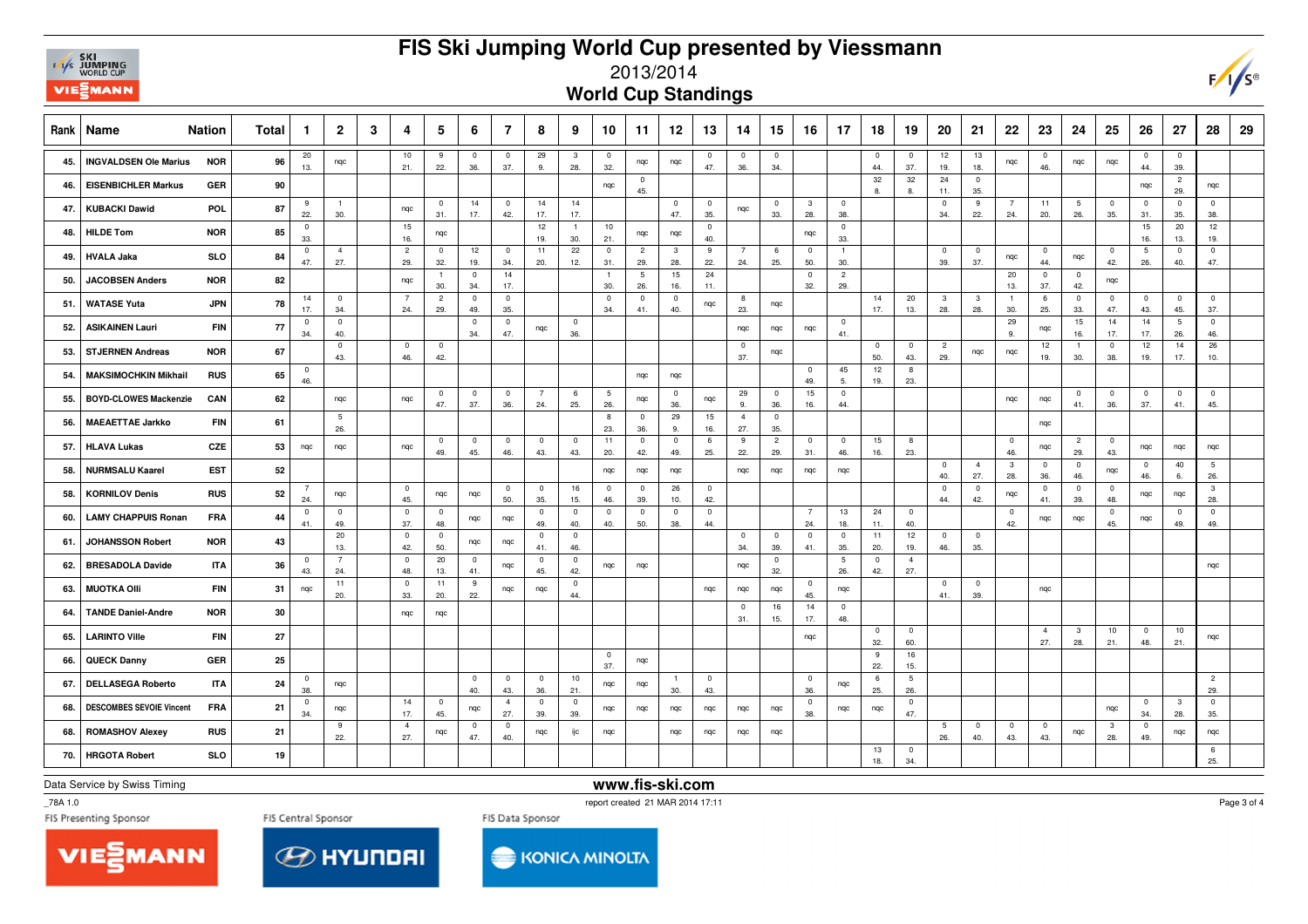## **FIS Ski Jumping World Cup presented by Viessmann**



## 2013/2014

**World Cup Standings**

| <b>Rank</b> | <b>Name</b>                     | <b>Nation</b> | Total | -1                  | $\overline{2}$         | 3 | 4                     | 5                     | 6                              | $\overline{7}$        | 8                      | 9                              | 10                     | 11                     | 12                             | 13                    | 14                     | 15                    | 16                    | 17                             | 18                             | 19                     | 20                    | 21                             | 22                    | 23                    | 24                     | 25                  | 26                    | 27                             | 28                    | 29 |
|-------------|---------------------------------|---------------|-------|---------------------|------------------------|---|-----------------------|-----------------------|--------------------------------|-----------------------|------------------------|--------------------------------|------------------------|------------------------|--------------------------------|-----------------------|------------------------|-----------------------|-----------------------|--------------------------------|--------------------------------|------------------------|-----------------------|--------------------------------|-----------------------|-----------------------|------------------------|---------------------|-----------------------|--------------------------------|-----------------------|----|
| 45.         | <b>INGVALDSEN Ole Marius</b>    | <b>NOR</b>    | 96    | 20<br>13.           | nqc                    |   | 10<br>21.             | 9<br>22.              | $\mathbf 0$<br>36.             | $\mathbf 0$<br>37.    | 29<br>9.               | 3<br>28.                       | $\overline{0}$<br>32.  | nqc                    | nqc                            | $\overline{0}$<br>47. | $\pmb{0}$<br>36.       | $\mathbf 0$<br>34.    |                       |                                | $\overline{0}$<br>44.          | $\overline{0}$<br>37.  | 12<br>19.             | 13<br>18.                      | nqc                   | $\overline{0}$<br>46. | nqc                    | nqc                 | $\overline{0}$<br>44. | $\overline{0}$<br>39.          |                       |    |
| 46.         | <b>EISENBICHLER Markus</b>      | GER           | 90    |                     |                        |   |                       |                       |                                |                       |                        |                                | ngc                    | $\pmb{0}$<br>45.       |                                |                       |                        |                       |                       |                                | 32<br>8                        | 32<br>8                | 24<br>11.             | $\pmb{0}$<br>35.               |                       |                       |                        |                     | nqc                   | $\overline{c}$<br>29.          | nqc                   |    |
| 47.         | <b>KUBACKI Dawid</b>            | POL           | 87    | 9<br>22.            | $\overline{1}$<br>30.  |   | ngc                   | $\overline{0}$<br>31. | 14<br>17.                      | $\mathbf 0$<br>42.    | 14<br>17.              | 14<br>17.                      |                        |                        | $\mathbf 0$<br>47.             | $\mathbf 0$<br>35.    | nqc                    | $\mathbf 0$<br>33.    | $\mathbf{3}$<br>28.   | $\overline{\mathbf{0}}$<br>38. |                                |                        | $\mathbf 0$<br>34.    | 9<br>22.                       | $\overline{7}$<br>24. | 11<br>20.             | $5\phantom{.0}$<br>26. | $\mathbf 0$<br>35.  | $\overline{0}$<br>31. | $\overline{0}$<br>35.          | $\mathbf 0$<br>38.    |    |
| 48.         | <b>HILDE Tom</b>                | <b>NOR</b>    | 85    | $\mathbf{0}$<br>33. |                        |   | 15<br>16.             | nqc                   |                                |                       | 12<br>19.              | $\overline{1}$<br>30.          | 10<br>21.              | nqc                    | nqc                            | $^{\circ}$<br>40.     |                        |                       | nqc                   | $\overline{0}$<br>33.          |                                |                        |                       |                                |                       |                       |                        |                     | 15<br>16.             | 20<br>13.                      | 12<br>19.             |    |
| 49.         | <b>HVALA Jaka</b>               | <b>SLO</b>    | 84    | $\mathbf{0}$<br>47. | $\overline{4}$<br>27.  |   | $\overline{2}$<br>29. | $\overline{0}$<br>32. | 12<br>19.                      | $\mathbf{0}$<br>34.   | 11<br>20.              | 22<br>12.                      | $\overline{0}$<br>31.  | $\overline{2}$<br>29.  | $\overline{\mathbf{3}}$<br>28. | 9<br>22.              | $7\overline{ }$<br>24. | 6<br>25.              | $\mathbf 0$<br>50.    | $\overline{1}$<br>30.          |                                |                        | $\overline{0}$<br>39. | $\overline{0}$<br>37.          | nqc                   | $\overline{0}$<br>44. | nqc                    | $\mathbf 0$<br>42.  | 5<br>26.              | $\mathbf 0$<br>40.             | $^{\circ}$<br>47.     |    |
| 50.         | <b>JACOBSEN Anders</b>          | <b>NOR</b>    | 82    |                     |                        |   | ngc                   | 30.                   | $^{\circ}$<br>34.              | 14<br>17.             |                        |                                | $\overline{1}$<br>30.  | $5\phantom{.0}$<br>26. | 15<br>16.                      | 24<br>11.             |                        |                       | $\overline{0}$<br>32. | $\overline{c}$<br>29.          |                                |                        |                       |                                | 20<br>13.             | $\mathbf 0$<br>37.    | $\overline{0}$<br>42.  | nqc                 |                       |                                |                       |    |
| 51.         | <b>WATASE Yuta</b>              | <b>JPN</b>    | 78    | 14<br>17.           | $\Omega$<br>34.        |   | $\overline{7}$<br>24. | $\overline{2}$<br>29. | $\overline{\mathbf{0}}$<br>49. | $\mathbf 0$<br>35.    |                        |                                | $\overline{0}$<br>34.  | $\mathbf 0$<br>41.     | $^{\circ}$<br>40.              | nqc                   | 8<br>23.               | nqc                   |                       |                                | 14<br>17.                      | 20<br>13.              | 3<br>28.              | $\mathbf{3}$<br>28.            | $\overline{1}$<br>30. | 6<br>25.              | $\mathbf{0}$<br>33.    | $^{\circ}$<br>47.   | $\mathbf 0$<br>43.    | $\mathbf{0}$<br>45.            | $\mathbf 0$<br>37.    |    |
| 52.         | <b>ASIKAINEN Lauri</b>          | <b>FIN</b>    | 77    | $\mathbf{0}$<br>34. | $^{\circ}$<br>40.      |   |                       |                       | $\overline{\mathbf{0}}$<br>34. | $\mathbf 0$<br>47.    | nqc                    | $\overline{0}$<br>36.          |                        |                        |                                |                       | nqc                    | nqc                   | nqc                   | $\overline{0}$<br>41.          |                                |                        |                       |                                | 29<br>9.              | nqc                   | 15<br>16.              | 14<br>17.           | 14<br>17.             | 5<br>26.                       | $\mathbf 0$<br>46.    |    |
| 53.         | <b>STJERNEN Andreas</b>         | <b>NOR</b>    | 67    |                     | $\mathbf 0$<br>43.     |   | $\mathbf 0$<br>46.    | $\overline{0}$<br>42. |                                |                       |                        |                                |                        |                        |                                |                       | $\mathbf 0$<br>37.     | nqc                   |                       |                                | $\overline{0}$<br>50.          | $\overline{0}$<br>43.  | $\overline{2}$<br>29. | nqc                            | nqc                   | 12<br>19.             | -1<br>30.              | $\mathbf{0}$<br>38. | 12<br>19.             | 14<br>17.                      | 26<br>10.             |    |
| 54.         | <b>MAKSIMOCHKIN Mikhail</b>     | <b>RUS</b>    | 65    | $\mathbf{0}$<br>46. |                        |   |                       |                       |                                |                       |                        |                                |                        | nqc                    | nqc                            |                       |                        |                       | $\pmb{0}$<br>49.      | 45<br>5.                       | 12<br>19.                      | 8<br>23.               |                       |                                |                       |                       |                        |                     |                       |                                |                       |    |
| 55.         | <b>BOYD-CLOWES Mackenzie</b>    | CAN           | 62    |                     | nqc                    |   | ngc                   | $\overline{0}$<br>47. | $\overline{0}$<br>37.          | $\pmb{0}$<br>36.      | $7\overline{ }$<br>24. | 6<br>25.                       | $5\phantom{.0}$<br>26. | nqc                    | $\bf{0}$<br>36.                | nqc                   | 29<br>9.               | $\mathbf 0$<br>36.    | 15<br>16.             | $\mathbf 0$<br>44.             |                                |                        |                       |                                | nqc                   | ngc                   | $\mathbf 0$<br>41.     | $\mathbf 0$<br>36.  | $\pmb{0}$<br>37.      | $\overline{0}$<br>41.          | $\mathbf 0$<br>45.    |    |
| 56.         | <b>MAEAETTAE Jarkko</b>         | FIN           | 61    |                     | $5\phantom{.0}$<br>26. |   |                       |                       |                                |                       |                        |                                | 8<br>23.               | $\mathbf 0$<br>36.     | 29<br>9.                       | 15<br>16.             | $\overline{4}$<br>27.  | $\mathsf 0$<br>35.    |                       |                                |                                |                        |                       |                                |                       | ngc                   |                        |                     |                       |                                |                       |    |
| 57.         | <b>HLAVA Lukas</b>              | CZE           | 53    | nqc                 | nqc                    |   | ngc                   | $\overline{0}$<br>49. | $^{\circ}$<br>45.              | $\mathbf 0$<br>46.    | $\mathbf{0}$<br>43.    | $\overline{0}$<br>43.          | 11<br>20.              | $\pmb{0}$<br>42.       | $\mathbf 0$<br>49.             | 6<br>25.              | 9<br>22.               | $\overline{c}$<br>29. | $\mathbf 0$<br>31.    | $\overline{0}$<br>46.          | 15<br>16.                      | 8<br>23.               |                       |                                | $\overline{0}$<br>46. | nqc                   | $\overline{c}$<br>29.  | $^{\circ}$<br>43.   | ngc                   | ngc                            | nqc                   |    |
| 58.         | <b>NURMSALU Kaarel</b>          | <b>EST</b>    | 52    |                     |                        |   |                       |                       |                                |                       |                        |                                | nqc                    | nqc                    | nqc                            |                       | nqc                    | nqc                   | nqc                   | nqc                            |                                |                        | $\overline{0}$<br>40. | $\overline{4}$<br>27.          | 3<br>28.              | $\overline{0}$<br>36. | $\overline{0}$<br>46.  | nqc                 | $\mathbf 0$<br>46.    | 40<br>6.                       | 5<br>26.              |    |
| 58.         | <b>KORNILOV Denis</b>           | <b>RUS</b>    | 52    | 24.                 | nqc                    |   | $\overline{0}$<br>45. | nqc                   | nqc                            | $\mathbf 0$<br>50.    | $\mathbf 0$<br>35.     | 16<br>15.                      | $\overline{0}$<br>46.  | $\mathbf 0$<br>39.     | 26<br>10.                      | $\mathbf 0$<br>42.    |                        |                       |                       |                                |                                |                        | $\overline{0}$<br>44. | $\mathbf 0$<br>42.             | nqc                   | $\mathbf 0$<br>41.    | $\mathbf{0}$<br>39.    | $\mathbf{0}$<br>48. | nqc                   | nqc                            | $\mathbf{3}$<br>28.   |    |
| 60.         | <b>LAMY CHAPPUIS Ronan</b>      | <b>FRA</b>    | 44    | $\mathbf{0}$<br>41. | $^{\circ}$<br>49.      |   | $\overline{0}$<br>37. | $\overline{0}$<br>48. | nqc                            | nqc                   | $^{\circ}$<br>49.      | $\mathbf 0$<br>40.             | $\overline{0}$<br>40.  | $\mathbf 0$<br>50.     | $^{\circ}$<br>38.              | $^{\circ}$<br>44.     |                        |                       | $\overline{7}$<br>24. | 13<br>18.                      | 24<br>11.                      | $^{\circ}$<br>40.      |                       |                                | $^{\circ}$<br>42.     | nqc                   | nqc                    | $^{\circ}$<br>45.   | nqc                   | $\mathbf 0$<br>49.             | $^{\circ}$<br>49.     |    |
| 61.         | <b>JOHANSSON Robert</b>         | <b>NOR</b>    | 43    |                     | 20<br>13.              |   | $\overline{0}$<br>42. | $\overline{0}$<br>50. | nqc                            | nqc                   | $\mathbf{0}$<br>41.    | $\overline{\mathbf{0}}$<br>46. |                        |                        |                                |                       | $\mathbf 0$<br>34.     | $\mathbf 0$<br>39.    | $\mathbf 0$<br>41.    | $\overline{0}$<br>35.          | 11<br>20.                      | 12<br>19.              | $\mathbf 0$<br>46.    | $\overline{\mathbf{0}}$<br>35. |                       |                       |                        |                     |                       |                                |                       |    |
| 62.         | <b>BRESADOLA Davide</b>         | <b>ITA</b>    | 36    | $\mathbf{0}$<br>43. | $\overline{7}$<br>24.  |   | $\overline{0}$<br>48. | 20<br>13.             | $\overline{0}$<br>41.          | nqc                   | $\mathbf 0$<br>45.     | $\overline{0}$<br>42.          | nqc                    | nqc                    |                                |                       | nqc                    | $\mathbf 0$<br>32.    |                       | 5<br>26.                       | $\overline{0}$<br>42.          | $\overline{4}$<br>27.  |                       |                                |                       |                       |                        |                     |                       |                                | nqc                   |    |
| 63.         | <b>MUOTKA OIII</b>              | FIN           | 31    | nqc                 | 11<br>20.              |   | $\overline{0}$<br>33. | 11<br>20.             | 9<br>22.                       | nqc                   | nqc                    | $\overline{\mathbf{0}}$<br>44. |                        |                        |                                | nqc                   | nqc                    | nqc                   | $\overline{0}$<br>45. | nqc                            |                                |                        | $\mathbf 0$<br>41.    | $\overline{0}$<br>39.          |                       | nqc                   |                        |                     |                       |                                |                       |    |
| 64.         | <b>TANDE Daniel-Andre</b>       | <b>NOR</b>    | 30    |                     |                        |   | ngc                   | nqc                   |                                |                       |                        |                                |                        |                        |                                |                       | $\pmb{0}$<br>31.       | 16<br>15.             | 14<br>17.             | $\overline{\mathbf{0}}$<br>48. |                                |                        |                       |                                |                       |                       |                        |                     |                       |                                |                       |    |
| 65.         | <b>LARINTO Ville</b>            | FIN           | 27    |                     |                        |   |                       |                       |                                |                       |                        |                                |                        |                        |                                |                       |                        |                       | ngc                   |                                | $\overline{\mathbf{0}}$<br>32. | $\overline{0}$<br>60.  |                       |                                |                       | $\overline{4}$<br>27. | $\mathbf{3}$<br>28.    | 10<br>21.           | $\overline{0}$<br>48. | 10<br>21.                      | nqc                   |    |
| 66.         | <b>QUECK Danny</b>              | GER           | 25    |                     |                        |   |                       |                       |                                |                       |                        |                                | $\overline{0}$<br>37.  | nqc                    |                                |                       |                        |                       |                       |                                | - 9<br>22.                     | 16<br>15.              |                       |                                |                       |                       |                        |                     |                       |                                |                       |    |
| 67.         | <b>DELLASEGA Roberto</b>        | <b>ITA</b>    | 24    | $\mathbf{0}$<br>38. | nqc                    |   |                       |                       | $\overline{\mathbf{0}}$<br>40. | $\mathbf 0$<br>43.    | $\mathbf 0$<br>36.     | 10<br>21.                      | nqc                    | nqc                    | $\overline{1}$<br>30.          | $\mathbf 0$<br>43.    |                        |                       | $\mathbf 0$<br>36.    | nqc                            | 6<br>25.                       | $5\phantom{.0}$<br>26. |                       |                                |                       |                       |                        |                     |                       |                                | $\overline{c}$<br>29. |    |
| 68.         | <b>DESCOMBES SEVOIE Vincent</b> | <b>FRA</b>    | 21    | $\mathbf 0$<br>34.  | nqc                    |   | 14<br>17.             | $\overline{0}$<br>45. | nqc                            | $\overline{4}$<br>27. | $\mathbf 0$<br>39.     | $\overline{0}$<br>39.          | nqc                    | nqc                    | nqc                            | nqc                   | nqc                    | nqc                   | $\mathbf 0$<br>38.    | nqc                            | nqc                            | $\overline{0}$<br>47.  |                       |                                |                       |                       |                        | nqc                 | $\overline{0}$<br>34. | $\overline{\mathbf{3}}$<br>28. | $\mathbf 0$<br>35.    |    |
| 68.         | <b>ROMASHOV Alexey</b>          | <b>RUS</b>    | 21    |                     | -9<br>22.              |   | $\overline{4}$<br>27. | nqc                   | $\overline{\mathbf{0}}$<br>47. | $\mathbf 0$<br>40.    | nqc                    | ijс                            | nqc                    |                        | nqc                            | nqc                   | nqc                    | nqc                   |                       |                                |                                |                        | 5<br>26.              | $^{\circ}$<br>40.              | $^{\circ}$<br>43.     | $\mathbf 0$<br>43.    | nqc                    | 3<br>28.            | $\overline{0}$<br>49. | nqc                            | nqc                   |    |
| 70.1        | <b>HRGOTA Robert</b>            | <b>SLO</b>    | 19    |                     |                        |   |                       |                       |                                |                       |                        |                                |                        |                        |                                |                       |                        |                       |                       |                                | 13<br>18.                      | $\overline{0}$<br>34.  |                       |                                |                       |                       |                        |                     |                       |                                | 6<br>25.              |    |

Data Service by Swiss Timing

**www.fis-ski.com**

\_78A 1.0

report created 21 MAR 2014 17:11  $\sim$  100  $\mu$ 





**KONICA MINOLTA** 

Page 3 of 4